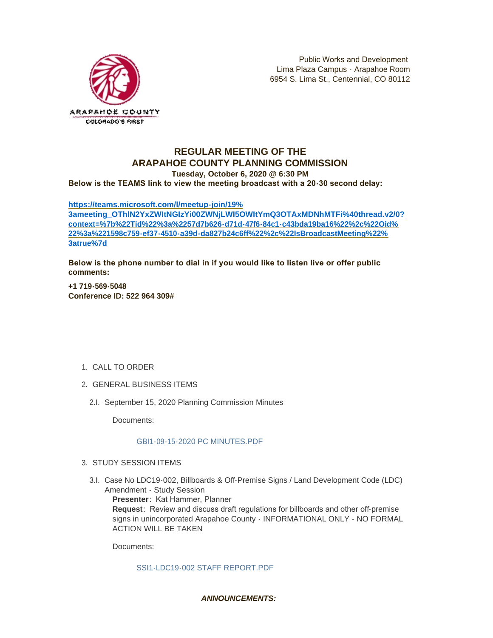

# **REGULAR MEETING OF THE ARAPAHOE COUNTY PLANNING COMMISSION**

**Tuesday, October 6, 2020 @ 6:30 PM**

**Below is the TEAMS link to view the meeting broadcast with a 20-30 second delay:** 

#### **https://teams.microsoft.com/l/meetup-join/19%**

**[3ameeting\\_OThlN2YxZWItNGIzYi00ZWNjLWI5OWItYmQ3OTAxMDNhMTFi%40thread.v2/0?](https://teams.microsoft.com/l/meetup-join/19%3ameeting_OThlN2YxZWItNGIzYi00ZWNjLWI5OWItYmQ3OTAxMDNhMTFi%40thread.v2/0?context=%7b%22Tid%22%3a%2257d7b626-d71d-47f6-84c1-c43bda19ba16%22%2c%22Oid%22%3a%221598c759-ef37-4510-a39d-da827b24c6ff%22%2c%22IsBroadcastMeeting%22%3atrue%7d) context=%7b%22Tid%22%3a%2257d7b626-d71d-47f6-84c1-c43bda19ba16%22%2c%22Oid% 22%3a%221598c759-ef37-4510-a39d-da827b24c6ff%22%2c%22IsBroadcastMeeting%22% 3atrue%7d**

**Below is the phone number to dial in if you would like to listen live or offer public comments:**

**+1 719-569-5048 Conference ID: 522 964 309#**

- 1. CALL TO ORDER
- GENERAL BUSINESS ITEMS 2.
	- 2.I. September 15, 2020 Planning Commission Minutes

Documents:

## [GBI1-09-15-2020 PC MINUTES.PDF](https://www.arapahoegov.com/AgendaCenter/ViewFile/Item/13521?fileID=24389)

- 3. STUDY SESSION ITEMS
	- 3.I. Case No LDC19-002, Billboards & Off-Premise Signs / Land Development Code (LDC) Amendment - Study Session

**Presenter**: Kat Hammer, Planner

**Request**: Review and discuss draft regulations for billboards and other off-premise signs in unincorporated Arapahoe County - INFORMATIONAL ONLY - NO FORMAL ACTION WILL BE TAKEN

Documents:

#### [SSI1-LDC19-002 STAFF REPORT.PDF](https://www.arapahoegov.com/AgendaCenter/ViewFile/Item/13522?fileID=24390)

## *ANNOUNCEMENTS:*